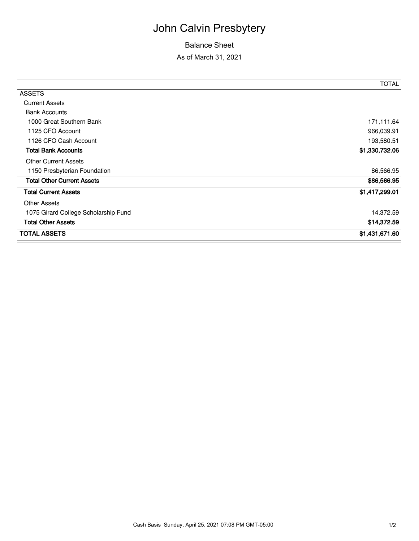## John Calvin Presbytery

## Balance Sheet

As of March 31, 2021

|                                      | TOTAL          |
|--------------------------------------|----------------|
| <b>ASSETS</b>                        |                |
| <b>Current Assets</b>                |                |
| <b>Bank Accounts</b>                 |                |
| 1000 Great Southern Bank             | 171,111.64     |
| 1125 CFO Account                     | 966,039.91     |
| 1126 CFO Cash Account                | 193,580.51     |
| <b>Total Bank Accounts</b>           | \$1,330,732.06 |
| <b>Other Current Assets</b>          |                |
| 1150 Presbyterian Foundation         | 86,566.95      |
| <b>Total Other Current Assets</b>    | \$86,566.95    |
| <b>Total Current Assets</b>          | \$1,417,299.01 |
| <b>Other Assets</b>                  |                |
| 1075 Girard College Scholarship Fund | 14,372.59      |
| <b>Total Other Assets</b>            | \$14,372.59    |
| <b>TOTAL ASSETS</b>                  | \$1,431,671.60 |